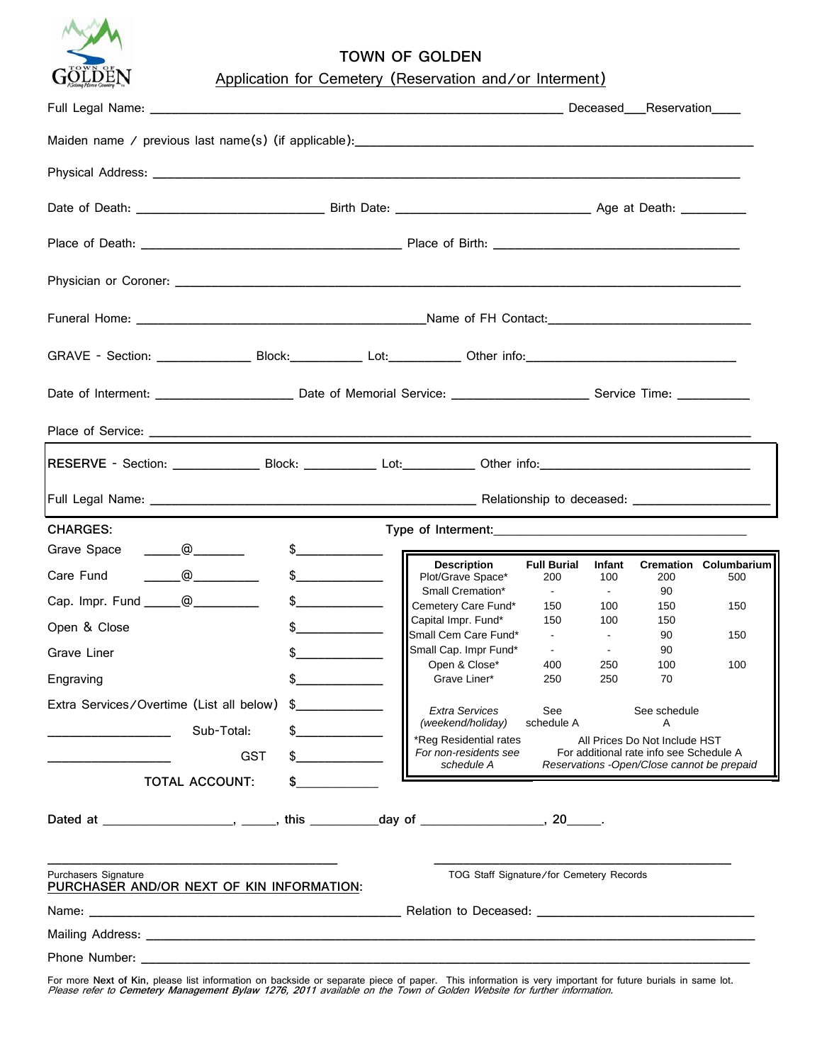

## **TOWN OF GOLDEN**

|  | Application for Cemetery (Reservation and/or Interment) |  |  |  |
|--|---------------------------------------------------------|--|--|--|
|--|---------------------------------------------------------|--|--|--|

|                                                                                           |                      |                                            |                           |                      | Deceased___Reservation____                                               |                                     |
|-------------------------------------------------------------------------------------------|----------------------|--------------------------------------------|---------------------------|----------------------|--------------------------------------------------------------------------|-------------------------------------|
|                                                                                           |                      |                                            |                           |                      |                                                                          |                                     |
|                                                                                           |                      |                                            |                           |                      |                                                                          |                                     |
|                                                                                           |                      |                                            |                           |                      |                                                                          |                                     |
|                                                                                           |                      |                                            |                           |                      |                                                                          |                                     |
|                                                                                           |                      |                                            |                           |                      |                                                                          |                                     |
|                                                                                           |                      |                                            |                           |                      |                                                                          |                                     |
|                                                                                           |                      |                                            |                           |                      |                                                                          |                                     |
|                                                                                           |                      |                                            |                           |                      |                                                                          |                                     |
|                                                                                           |                      |                                            |                           |                      |                                                                          |                                     |
|                                                                                           |                      |                                            |                           |                      |                                                                          |                                     |
|                                                                                           |                      |                                            |                           |                      |                                                                          |                                     |
| <b>CHARGES:</b>                                                                           |                      |                                            |                           |                      |                                                                          |                                     |
| $\begin{array}{c}\n\hline\n\hline\n\hline\n\end{array}$<br>Grave Space                    | $\frac{1}{2}$        |                                            |                           |                      |                                                                          |                                     |
| $\begin{array}{c} \begin{array}{c} \begin{array}{c} \end{array} \end{array}$<br>Care Fund | $\frac{1}{2}$        | <b>Description</b><br>Plot/Grave Space*    | <b>Full Burial</b><br>200 | <b>Infant</b><br>100 | 200                                                                      | <b>Cremation Columbarium</b><br>500 |
| Cap. Impr. Fund ________ @____________                                                    | $\frac{1}{2}$        | Small Cremation*<br>Cemetery Care Fund*    | $\sim 100$ km s $^{-1}$   | $\sim$ 100 $\mu$     | 90                                                                       |                                     |
|                                                                                           |                      | Capital Impr. Fund*                        | 150<br>150                | 100<br>100           | 150<br>150                                                               | 150                                 |
| Open & Close                                                                              | $\frac{1}{\sqrt{2}}$ | Small Cem Care Fund*                       | $\sim 100$                | $\sim$               | 90                                                                       | 150                                 |
| Grave Liner                                                                               | $\frac{1}{2}$        | Small Cap. Impr Fund*<br>Open & Close*     | $\sim$<br>400             | $\sim 10$<br>250     | 90<br>100                                                                | 100                                 |
| Engraving                                                                                 |                      | Grave Liner*                               | 250                       | 250                  | 70                                                                       |                                     |
| Extra Services/Overtime (List all below)                                                  | \$                   |                                            |                           |                      |                                                                          |                                     |
| Sub-Total:                                                                                |                      | <b>Extra Services</b><br>(weekend/holiday) | See<br>schedule A         |                      | See schedule<br>Α                                                        |                                     |
|                                                                                           |                      | *Reg Residential rates                     |                           |                      | All Prices Do Not Include HST<br>For additional rate info see Schedule A |                                     |
| <b>GST</b>                                                                                |                      | For non-residents see<br>schedule A        |                           |                      | Reservations - Open/Close cannot be prepaid                              |                                     |
| <b>TOTAL ACCOUNT:</b>                                                                     |                      |                                            |                           |                      |                                                                          |                                     |
|                                                                                           |                      |                                            |                           |                      |                                                                          |                                     |
|                                                                                           |                      |                                            |                           |                      |                                                                          |                                     |
| <b>Purchasers Signature</b><br>PURCHASER AND/OR NEXT OF KIN INFORMATION:                  |                      | TOG Staff Signature/for Cemetery Records   |                           |                      |                                                                          |                                     |
|                                                                                           |                      |                                            |                           |                      |                                                                          |                                     |
|                                                                                           |                      |                                            |                           |                      |                                                                          |                                     |
|                                                                                           |                      |                                            |                           |                      |                                                                          |                                     |

For more Next of Kin, please list information on backside or separate piece of paper. This information is very important for future burials in same lot.<br>*Please refer to Cemetery Management Bylaw 1276, 2011 available on th*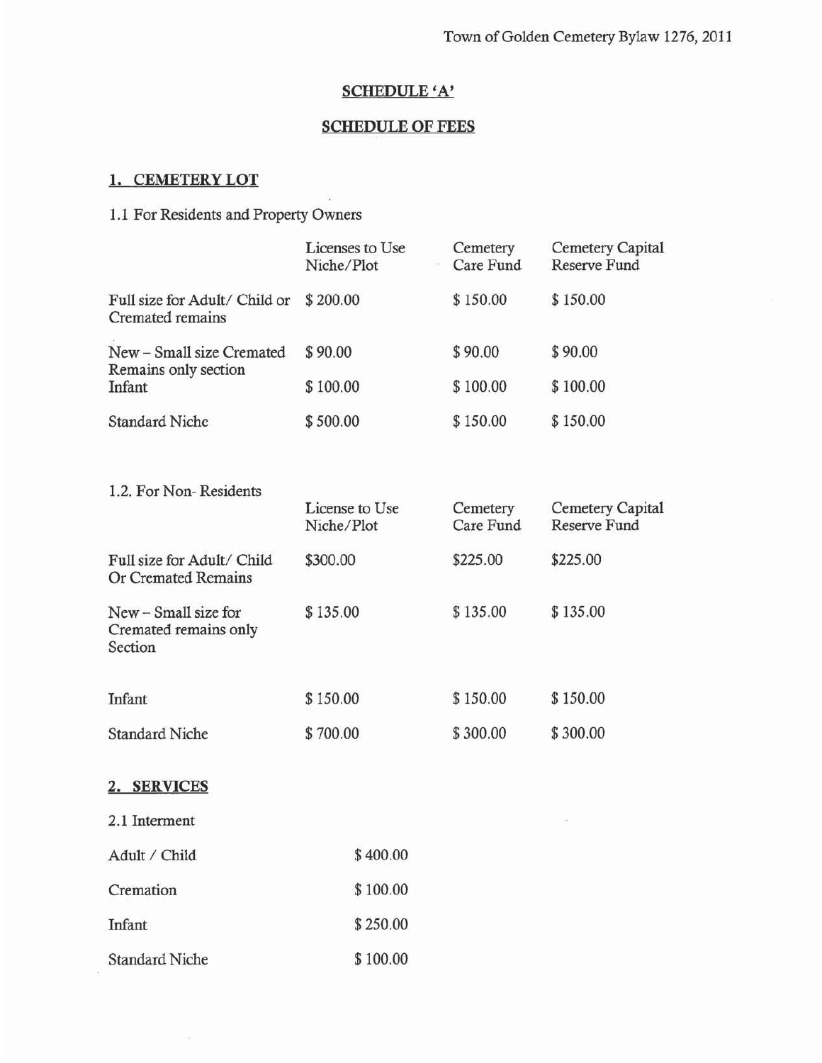# **SCHEDULE 'A'**

#### **SCHEDULE OF FEES**

### 1. CEMETERY LOT

1.2. For Non-Residents

### 1.1 For Residents and Property Owners

|                                                   | Licenses to Use<br>Niche/Plot | Cemetery<br>Care Fund | <b>Cemetery Capital</b><br>Reserve Fund |
|---------------------------------------------------|-------------------------------|-----------------------|-----------------------------------------|
| Full size for Adult/ Child or<br>Cremated remains | \$200.00                      | \$150.00              | \$150.00                                |
| New - Small size Cremated<br>Remains only section | \$90.00                       | \$90.00               | \$90.00                                 |
| Infant                                            | \$100.00                      | \$100.00              | \$100.00                                |
| <b>Standard Niche</b>                             | \$500.00                      | \$150.00              | \$150.00                                |

|                                                          | License to Use<br>Niche/Plot | Cemetery<br>Care Fund | <b>Cemetery Capital</b><br><b>Reserve Fund</b> |
|----------------------------------------------------------|------------------------------|-----------------------|------------------------------------------------|
| Full size for Adult/ Child<br>Or Cremated Remains        | \$300.00                     | \$225.00              | \$225.00                                       |
| New – Small size for<br>Cremated remains only<br>Section | \$135.00                     | \$135.00              | \$135.00                                       |
| Infant                                                   | \$150.00                     | \$150.00              | \$150.00                                       |
| <b>Standard Niche</b>                                    | \$700.00                     | \$300.00              | \$300.00                                       |

### 2. SERVICES

2.1 Interment

| Adult / Child         | \$400.00 |
|-----------------------|----------|
| Cremation             | \$100.00 |
| Infant                | \$250.00 |
| <b>Standard Niche</b> | \$100.00 |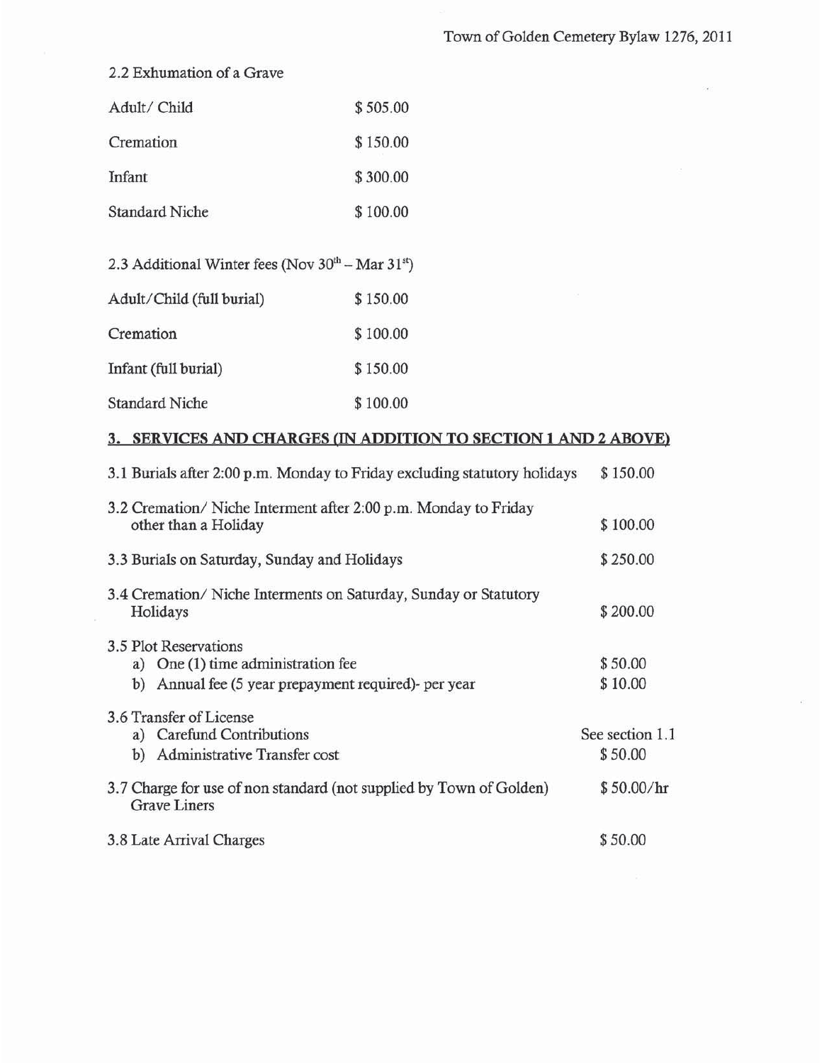## 2.2 Exhumation of a Grave

| Adult/ Child          | \$505.00 |
|-----------------------|----------|
| Cremation             | \$150.00 |
| Infant                | \$300.00 |
| <b>Standard Niche</b> | \$100.00 |
|                       |          |

| 2.3 Additional Winter fees (Nov 30 <sup>th</sup> – Mar 31 <sup>st</sup> ) |          |
|---------------------------------------------------------------------------|----------|
| Adult/Child (full burial)                                                 | \$150.00 |

| Cremation             | \$100.00 |
|-----------------------|----------|
| Infant (full burial)  | \$150.00 |
| <b>Standard Niche</b> | \$100.00 |

#### 3. SERVICES AND CHARGES (IN ADDITION TO SECTION 1 AND 2 ABOVE)

| 3.1 Burials after 2:00 p.m. Monday to Friday excluding statutory holidays                                              | \$150.00                   |
|------------------------------------------------------------------------------------------------------------------------|----------------------------|
| 3.2 Cremation/Niche Interment after 2:00 p.m. Monday to Friday<br>other than a Holiday                                 | \$100.00                   |
| 3.3 Burials on Saturday, Sunday and Holidays                                                                           | \$250.00                   |
| 3.4 Cremation/Niche Interments on Saturday, Sunday or Statutory<br>Holidays                                            | \$200.00                   |
| 3.5 Plot Reservations<br>a) One (1) time administration fee<br>Annual fee (5 year prepayment required)- per year<br>b) | \$50.00<br>\$10.00         |
| 3.6 Transfer of License<br>a) Carefund Contributions<br>Administrative Transfer cost<br>b)                             | See section 1.1<br>\$50.00 |
| 3.7 Charge for use of non standard (not supplied by Town of Golden)<br><b>Grave Liners</b>                             | \$50.00/hr                 |
| 3.8 Late Arrival Charges                                                                                               | \$50.00                    |